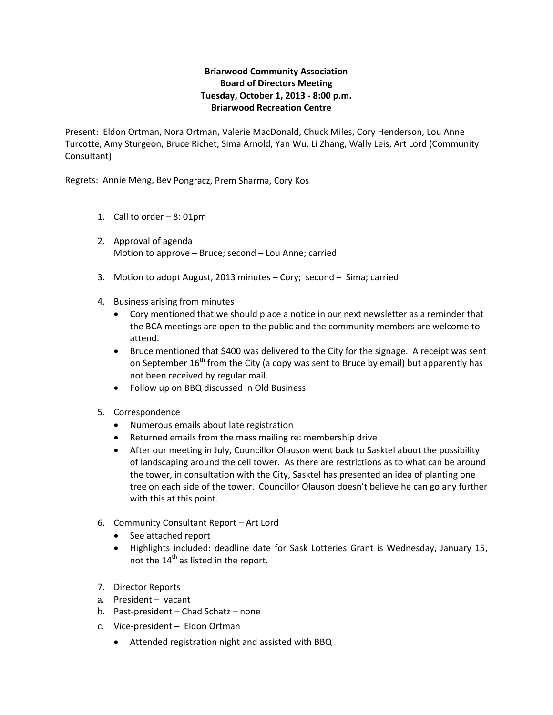## **Briarwood Community Association Board of Directors Meeting Tuesday, October 1, 2013 ‐ 8:00 p.m. Briarwood Recreation Centre**

Present: Eldon Ortman, Nora Ortman, Valerie MacDonald, Chuck Miles, Cory Henderson, Lou Anne Turcotte, Amy Sturgeon, Bruce Richet, Sima Arnold, Yan Wu, Li Zhang, Wally Leis, Art Lord (Community Consultant)

Regrets: Annie Meng, Bev Pongracz, Prem Sharma, Cory Kos

- 1. Call to order 8: 01pm
- 2. Approval of agenda Motion to approve – Bruce; second – Lou Anne; carried
- 3. Motion to adopt August, 2013 minutes Cory; second Sima; carried
- 4. Business arising from minutes
	- Cory mentioned that we should place a notice in our next newsletter as a reminder that the BCA meetings are open to the public and the community members are welcome to attend.
	- Bruce mentioned that \$400 was delivered to the City for the signage. A receipt was sent on September  $16^{th}$  from the City (a copy was sent to Bruce by email) but apparently has not been received by regular mail.
	- Follow up on BBQ discussed in Old Business
- 5. Correspondence
	- Numerous emails about late registration
	- Returned emails from the mass mailing re: membership drive
	- After our meeting in July, Councillor Olauson went back to Sasktel about the possibility of landscaping around the cell tower. As there are restrictions as to what can be around the tower, in consultation with the City, Sasktel has presented an idea of planting one tree on each side of the tower. Councillor Olauson doesn't believe he can go any further with this at this point.
- 6. Community Consultant Report Art Lord
	- See attached report
	- Highlights included: deadline date for Sask Lotteries Grant is Wednesday, January 15, not the  $14<sup>th</sup>$  as listed in the report.
- 7. Director Reports
- a. President vacant
- b. Past‐president Chad Schatz none
- c. Vice‐president Eldon Ortman
	- Attended registration night and assisted with BBQ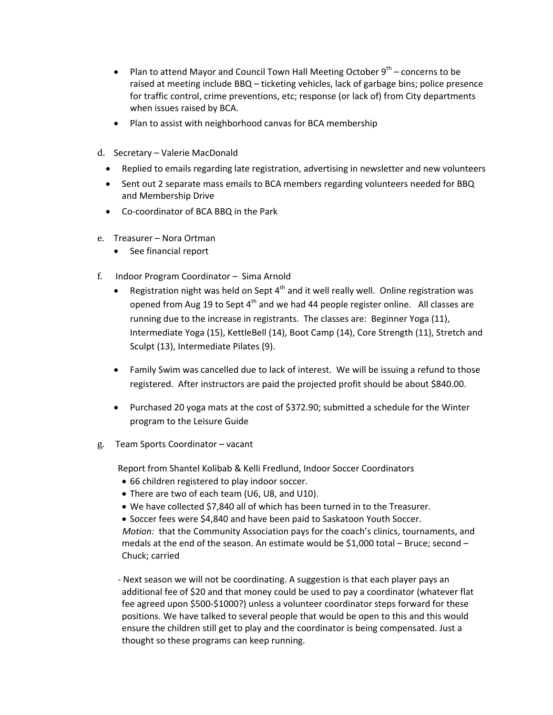- Plan to attend Mayor and Council Town Hall Meeting October  $9^{th}$  concerns to be raised at meeting include BBQ – ticketing vehicles, lack of garbage bins; police presence for traffic control, crime preventions, etc; response (or lack of) from City departments when issues raised by BCA.
- Plan to assist with neighborhood canvas for BCA membership
- d. Secretary Valerie MacDonald
	- Replied to emails regarding late registration, advertising in newsletter and new volunteers
	- Sent out 2 separate mass emails to BCA members regarding volunteers needed for BBQ and Membership Drive
	- Co‐coordinator of BCA BBQ in the Park
- e. Treasurer Nora Ortman
	- See financial report
- f. Indoor Program Coordinator Sima Arnold
	- Registration night was held on Sept  $4<sup>th</sup>$  and it well really well. Online registration was opened from Aug 19 to Sept  $4<sup>th</sup>$  and we had 44 people register online. All classes are running due to the increase in registrants. The classes are: Beginner Yoga (11), Intermediate Yoga (15), KettleBell (14), Boot Camp (14), Core Strength (11), Stretch and Sculpt (13), Intermediate Pilates (9).
	- Family Swim was cancelled due to lack of interest. We will be issuing a refund to those registered. After instructors are paid the projected profit should be about \$840.00.
	- Purchased 20 yoga mats at the cost of \$372.90; submitted a schedule for the Winter program to the Leisure Guide
- g. Team Sports Coordinator vacant

Report from Shantel Kolibab & Kelli Fredlund, Indoor Soccer Coordinators

- 66 children registered to play indoor soccer.
- There are two of each team (U6, U8, and U10).
- We have collected \$7,840 all of which has been turned in to the Treasurer.
- Soccer fees were \$4,840 and have been paid to Saskatoon Youth Soccer.

*Motion:* that the Community Association pays for the coach's clinics, tournaments, and medals at the end of the season. An estimate would be \$1,000 total – Bruce; second – Chuck; carried

‐ Next season we will not be coordinating. A suggestion is that each player pays an additional fee of \$20 and that money could be used to pay a coordinator (whatever flat fee agreed upon \$500‐\$1000?) unless a volunteer coordinator steps forward for these positions. We have talked to several people that would be open to this and this would ensure the children still get to play and the coordinator is being compensated. Just a thought so these programs can keep running.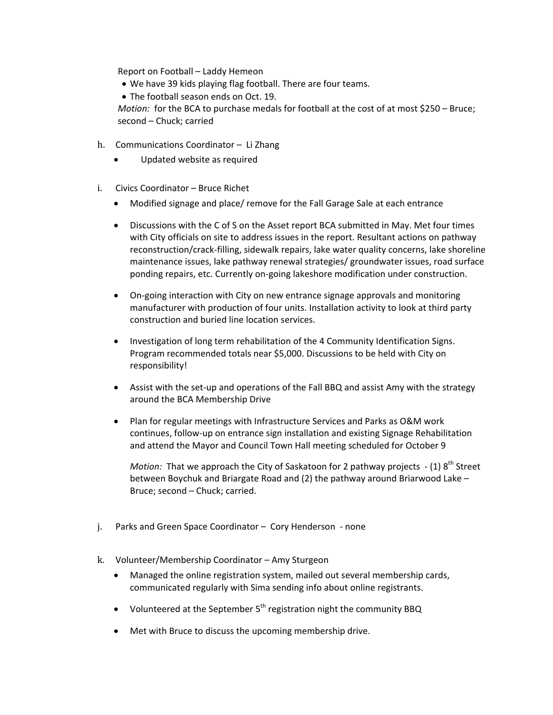Report on Football – Laddy Hemeon

- We have 39 kids playing flag football. There are four teams.
- The football season ends on Oct. 19.

*Motion:* for the BCA to purchase medals for football at the cost of at most \$250 – Bruce; second – Chuck; carried

- h. Communications Coordinator Li Zhang
	- Updated website as required
- i. Civics Coordinator Bruce Richet
	- Modified signage and place/ remove for the Fall Garage Sale at each entrance
	- Discussions with the C of S on the Asset report BCA submitted in May. Met four times with City officials on site to address issues in the report. Resultant actions on pathway reconstruction/crack‐filling, sidewalk repairs, lake water quality concerns, lake shoreline maintenance issues, lake pathway renewal strategies/ groundwater issues, road surface ponding repairs, etc. Currently on‐going lakeshore modification under construction.
	- On-going interaction with City on new entrance signage approvals and monitoring manufacturer with production of four units. Installation activity to look at third party construction and buried line location services.
	- Investigation of long term rehabilitation of the 4 Community Identification Signs. Program recommended totals near \$5,000. Discussions to be held with City on responsibility!
	- Assist with the set-up and operations of the Fall BBQ and assist Amy with the strategy around the BCA Membership Drive
	- Plan for regular meetings with Infrastructure Services and Parks as O&M work continues, follow‐up on entrance sign installation and existing Signage Rehabilitation and attend the Mayor and Council Town Hall meeting scheduled for October 9

*Motion:* That we approach the City of Saskatoon for 2 pathway projects - (1) 8<sup>th</sup> Street between Boychuk and Briargate Road and (2) the pathway around Briarwood Lake – Bruce; second – Chuck; carried.

- j. Parks and Green Space Coordinator Cory Henderson ‐ none
- k. Volunteer/Membership Coordinator Amy Sturgeon
	- Managed the online registration system, mailed out several membership cards, communicated regularly with Sima sending info about online registrants.
	- Volunteered at the September  $5<sup>th</sup>$  registration night the community BBQ
	- Met with Bruce to discuss the upcoming membership drive.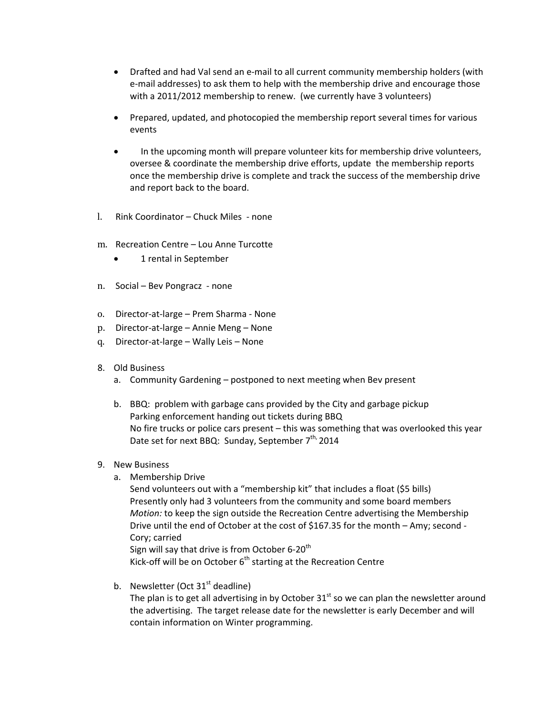- Drafted and had Val send an e-mail to all current community membership holders (with e‐mail addresses) to ask them to help with the membership drive and encourage those with a 2011/2012 membership to renew. (we currently have 3 volunteers)
- Prepared, updated, and photocopied the membership report several times for various events
- In the upcoming month will prepare volunteer kits for membership drive volunteers, oversee & coordinate the membership drive efforts, update the membership reports once the membership drive is complete and track the success of the membership drive and report back to the board.
- l. Rink Coordinator Chuck Miles ‐ none
- m. Recreation Centre Lou Anne Turcotte
	- 1 rental in September
- n. Social Bev Pongracz ‐ none
- o. Director‐at‐large Prem Sharma ‐ None
- p. Director‐at‐large Annie Meng None
- q. Director‐at‐large Wally Leis None
- 8. Old Business
	- a. Community Gardening postponed to next meeting when Bev present
	- b. BBQ: problem with garbage cans provided by the City and garbage pickup Parking enforcement handing out tickets during BBQ No fire trucks or police cars present – this was something that was overlooked this year Date set for next BBQ: Sunday, September 7<sup>th,</sup> 2014
- 9. New Business
	- a. Membership Drive

Send volunteers out with a "membership kit" that includes a float (\$5 bills) Presently only had 3 volunteers from the community and some board members *Motion:* to keep the sign outside the Recreation Centre advertising the Membership Drive until the end of October at the cost of \$167.35 for the month – Amy; second ‐ Cory; carried Sign will say that drive is from October 6-20<sup>th</sup>

Kick-off will be on October  $6<sup>th</sup>$  starting at the Recreation Centre

b. Newsletter (Oct  $31<sup>st</sup>$  deadline)

The plan is to get all advertising in by October  $31<sup>st</sup>$  so we can plan the newsletter around the advertising. The target release date for the newsletter is early December and will contain information on Winter programming.